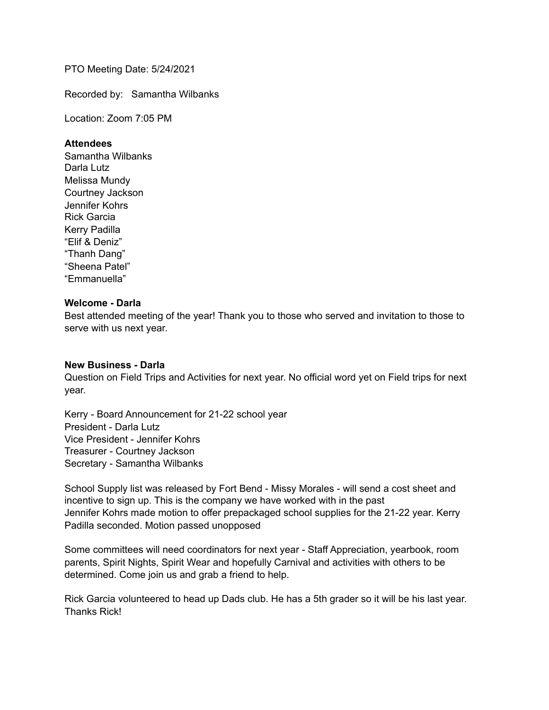PTO Meeting Date: 5/24/2021

Recorded by: Samantha Wilbanks

Location: Zoom 7:05 PM

### **Attendees**

Samantha Wilbanks Darla Lutz Melissa Mundy Courtney Jackson Jennifer Kohrs Rick Garcia Kerry Padilla "Elif & Deniz" "Thanh Dang" "Sheena Patel" "Emmanuella"

## **Welcome - Darla**

Best attended meeting of the year! Thank you to those who served and invitation to those to serve with us next year.

### **New Business - Darla**

Question on Field Trips and Activities for next year. No official word yet on Field trips for next year.

Kerry - Board Announcement for 21-22 school year President - Darla Lutz Vice President - Jennifer Kohrs Treasurer - Courtney Jackson Secretary - Samantha Wilbanks

School Supply list was released by Fort Bend - Missy Morales - will send a cost sheet and incentive to sign up. This is the company we have worked with in the past Jennifer Kohrs made motion to offer prepackaged school supplies for the 21-22 year. Kerry Padilla seconded. Motion passed unopposed

Some committees will need coordinators for next year - Staff Appreciation, yearbook, room parents, Spirit Nights, Spirit Wear and hopefully Carnival and activities with others to be determined. Come join us and grab a friend to help.

Rick Garcia volunteered to head up Dads club. He has a 5th grader so it will be his last year. Thanks Rick!